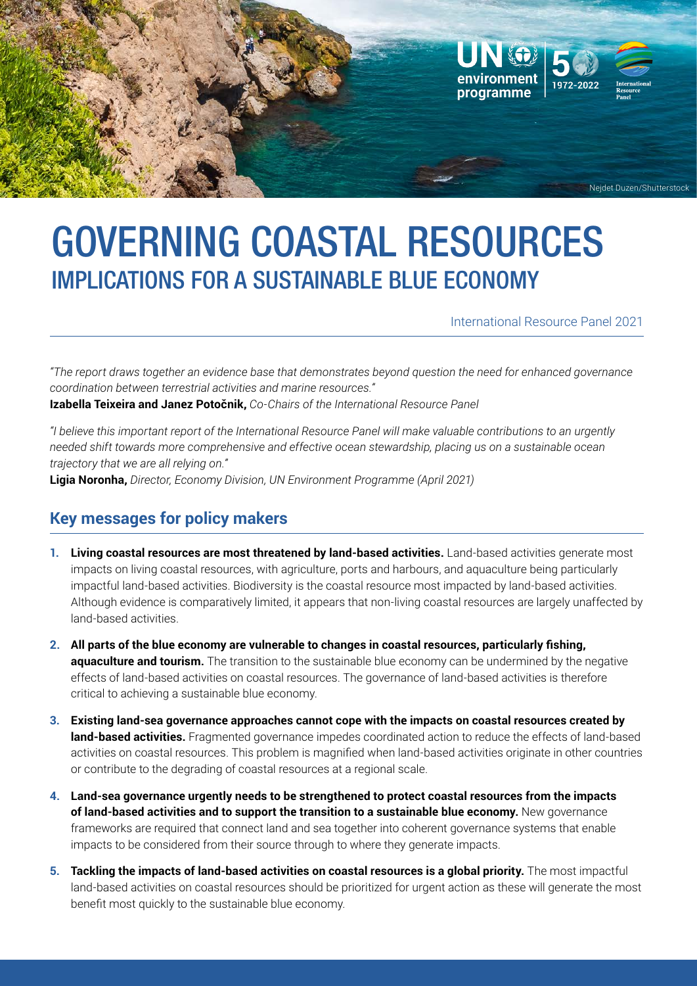

# GOVERNING COASTAL RESOURCES IMPLICATIONS FOR A SUSTAINABLE BLUE ECONOMY

International Resource Panel 2021

*"The report draws together an evidence base that demonstrates beyond question the need for enhanced governance coordination between terrestrial activities and marine resources."*

**Izabella Teixeira and Janez Potočnik,** *Co-Chairs of the International Resource Panel* 

*"I believe this important report of the International Resource Panel will make valuable contributions to an urgently needed shift towards more comprehensive and effective ocean stewardship, placing us on a sustainable ocean trajectory that we are all relying on."*

**Ligia Noronha,** *Director, Economy Division, UN Environment Programme (April 2021)*

## **Key messages for policy makers**

- **1. Living coastal resources are most threatened by land-based activities.** Land-based activities generate most impacts on living coastal resources, with agriculture, ports and harbours, and aquaculture being particularly impactful land-based activities. Biodiversity is the coastal resource most impacted by land-based activities. Although evidence is comparatively limited, it appears that non-living coastal resources are largely unaffected by land-based activities.
- **2. All parts of the blue economy are vulnerable to changes in coastal resources, particularly fishing, aquaculture and tourism.** The transition to the sustainable blue economy can be undermined by the negative effects of land-based activities on coastal resources. The governance of land-based activities is therefore critical to achieving a sustainable blue economy.
- **3. Existing land-sea governance approaches cannot cope with the impacts on coastal resources created by land-based activities.** Fragmented governance impedes coordinated action to reduce the effects of land-based activities on coastal resources. This problem is magnified when land-based activities originate in other countries or contribute to the degrading of coastal resources at a regional scale.
- **4. Land-sea governance urgently needs to be strengthened to protect coastal resources from the impacts of land-based activities and to support the transition to a sustainable blue economy.** New governance frameworks are required that connect land and sea together into coherent governance systems that enable impacts to be considered from their source through to where they generate impacts.
- **5. Tackling the impacts of land-based activities on coastal resources is a global priority.** The most impactful land-based activities on coastal resources should be prioritized for urgent action as these will generate the most benefit most quickly to the sustainable blue economy.